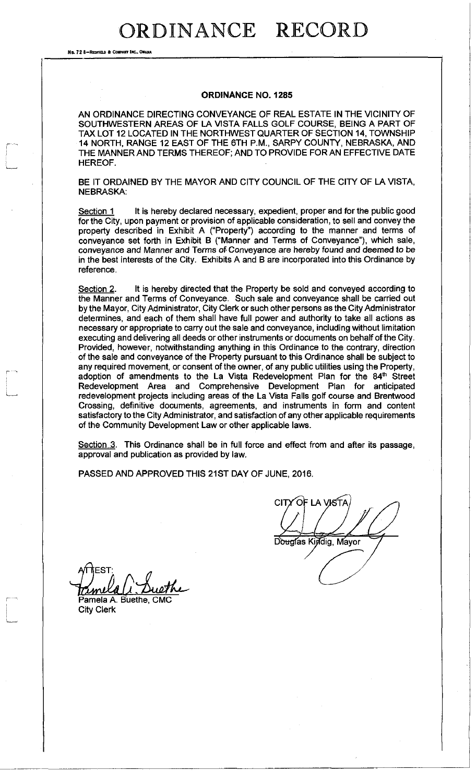No. 72 8-REDFIELD & COMPANY INC., OI

#### **ORDINANCE NO. 1285**

AN ORDINANCE DIRECTING CONVEYANCE OF REAL ESTATE IN THE VICINITY OF SOUTHWESTERN AREAS OF LA VISTA FALLS GOLF COURSE, BEING A PART OF TAX LOT 12 LOCATED IN THE NORTHWEST QUARTER OF SECTION 14, TOWNSHIP 14 NORTH, RANGE 12 EAST OF THE 6TH P.M., SARPY COUNTY, NEBRASKA, AND THE MANNER AND TERMS THEREOF; AND TO PROVIDE FOR AN EFFECTIVE DATE HEREOF.

BE IT ORDAINED BY THE MAYOR AND CITY COUNCIL OF THE CITY OF LA VISTA, NEBRASKA:

Section 1 It is hereby declared necessary, expedient, proper and for the public good for the City, upon payment or provision of applicable consideration, to sell and convey the property described in Exhibit A ("Property") according to the manner and terms of conveyance set forth in Exhibit B ("Manner and Terms of Conveyance"), which sale, conveyance and Manner and Terms of Conveyance are hereby found and deemed to be in the best interests of the City. Exhibits A and B are incorporated into this Ordinance by reference.

Section 2. It is hereby directed that the Property be sold and conveyed according to the Manner and Terms of Conveyance. Such sale and conveyance shall be carried out by the Mayor, City Administrator, City Clerk or such other persons as the City Administrator determines, and each of them shall have full power and authority to take all actions as necessary or appropriate to carry out the sale and conveyance, including without limitation executing and delivering all deeds or other instruments or documents on behalf of the City. Provided, however, notwithstanding anything in this Ordinance to the contrary, direction of the sale and conveyance of the Property pursuant to this Ordinance shall be subject to any required movement, or consent of the owner, of any public utilities using the Property, adoption of amendments to the La Vista Redevelopment Plan for the 84<sup>th</sup> Street Redevelopment Area and Comprehensive Development Plan for anticipated redevelopment projects including areas of the La Vista Falls golf course and Brentwood Crossing, definitive documents, agreements, and instruments in form and content satisfactory to the City Administrator, and satisfaction of any other applicable requirements of the Community Development Law or other applicable laws.

Section 3. This Ordinance shall be in full force and effect from and after its passage, approval and publication as provided by law.

PASSED AND APPROVED THIS 21ST DAY OF JUNE, 2016.

OF LA VISTA CITY Douglas Kindig, Mayor

πEST∶ ml Pamela A. Buethe, CMC

City Clerk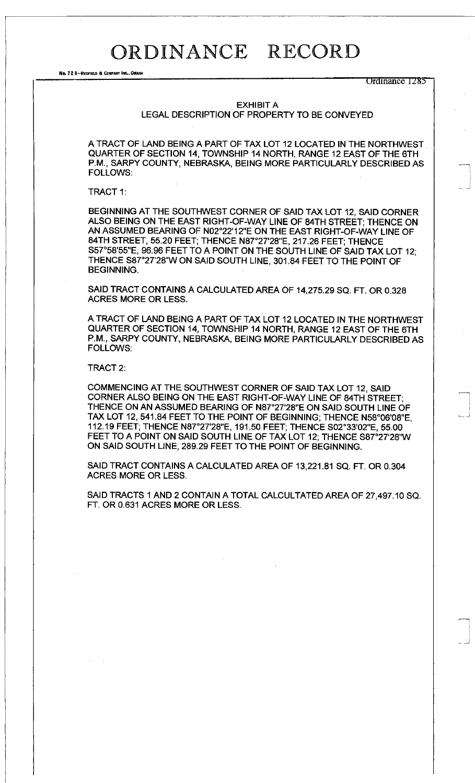No. 72 8-REDFIELD & COMPANY INC., OMAH

Ordinance 1285

#### EXHIBIT A

LEGAL DESCRIPTION OF PROPERTY TO BE CONVEYED

A TRACT OF LAND BEING A PART OF TAX LOT 12 LOCATED IN THE NORTHWEST QUARTER OF SECTION 14, TOWNSHIP 14 NORTH, RANGE 12 EAST OF THE 6TH P.M., SARPY COUNTY, NEBRASKA, BEING MORE PARTICULARLY DESCRIBED AS FOLLOWS:

TRACT 1:

BEGINNING AT THE SOUTHWEST CORNER OF SAID TAX LOT 12, SAID CORNER ALSO BEING ON THE EAST RIGHT-OF-WAY LINE OF 84TH STREET; THENCE ON AN ASSUMED BEARING OF N02°22'12"E ON THE EAST RIGHT-OF-WAY LINE OF 84TH STREET, 55.20 FEET; THENCE N87°27'28"E, 217.26 FEET; THENCE S57°58'55"E, 96.96 FEET TO A POINT ON THE SOUTH LINE OF SAID TAX LOT 12; THENCE S87°27'28"W ON SAID SOUTH LINE, 301.84 FEET TO THE POINT OF BEGINNING.

SAID TRACT CONTAINS A CALCULATED AREA OF 14,275.29 SQ. FT. OR 0.328 ACRES MORE OR LESS.

A TRACT OF LAND BEING A PART OF TAX LOT 12 LOCATED IN THE NORTHWEST QUARTER OF SECTION 14, TOWNSHIP 14 NORTH, RANGE 12 EAST OF THE 6TH P.M., SARPY COUNTY, NEBRASKA, BEING MORE PARTICULARLY DESCRIBED AS FOLLOWS:

TRACT 2:

COMMENCING AT THE SOUTHWEST CORNER OF SAID TAX LOT 12, SAID CORNER ALSO BEING ON THE EAST RIGHT-OF-WAY LINE OF 84TH STREET; THENCE ON AN ASSUMED BEARING OF N87°27'28"E ON SAID SOUTH LINE OF TAX LOT 12, 541.84 FEET TO THE POINT OF BEGINNING; THENCE N58°06'08"E, 112.19 FEET; THENCE N87°27'28"E, 191.50 FEET; THENCE S02°33'02"E, 55.00 FEET TO A POINT ON SAID SOUTH LINE OF TAX LOT 12; THENCE S87°27'28"W ON SAID SOUTH LINE, 289.29 FEET TO THE POINT OF BEGINNING.

SAID TRACT CONTAINS A CALCULATED AREA OF 13,221.81 SQ. FT. OR 0.304 ACRES MORE OR LESS.

SAID TRACTS 1 AND 2 CONTAIN A TOTAL CALCULTATED AREA OF 27,497.10 SQ. FT. OR 0.631 ACRES MORE OR LESS.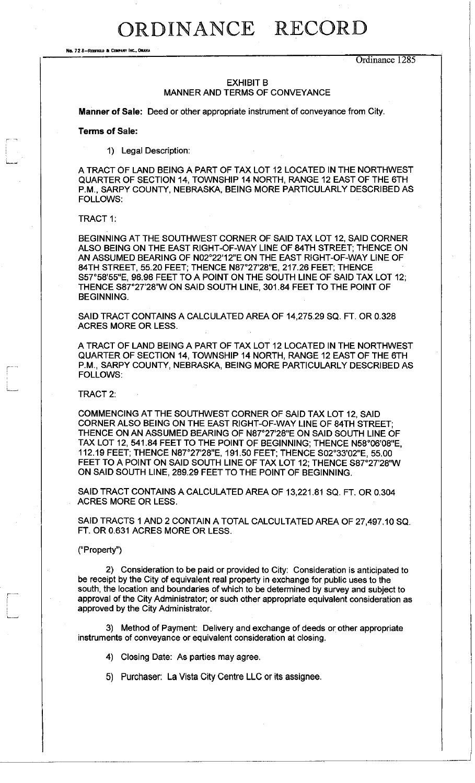No. 72 8-REOFIELD & COMPANY INC., OMAHA

Ordinance 1285

### EXHIBIT B MANNER AND TERMS OF CONVEYANCE

**Manner of Sale:** Deed or other appropriate instrument of conveyance from City.

**Terms of Sale:** 

1) Legal Description:

A TRACT OF LAND BEING A PART OF TAX LOT 12 LOCATED IN THE NORTHWEST QUARTER OF SECTION 14, TOWNSHIP 14 NORTH, RANGE 12 EAST OF THE 6TH P.M., SARPY COUNTY, NEBRASKA, BEING MORE PARTICULARLY DESCRIBED AS FOLLOWS:

TRACT 1:

BEGINNING AT THE SOUTHWEST CORNER OF SAID TAX LOT 12, SAID CORNER ALSO BEING ON THE EAST RIGHT-OF-WAY LINE OF 84TH STREET; THENCE ON AN ASSUMED BEARING OF N02°22'12"E ON THE EAST RIGHT-OF-WAY LINE OF 84TH STREET, 55.20 FEET; THENCE N87°27'28"E, 217.26 FEET; THENCE S57°58'55"E, 96.96 FEET TO A POINT ON THE SOUTH LINE OF SAID TAX LOT 12; THENCE S87°27'28"W ON SAID SOUTH LINE, 301.84 FEET TO THE POINT OF BEGINNING.

SAID TRACT CONTAINS A CALCULATED AREA OF 14,275.29 SQ. FT. OR 0.328 ACRES MORE OR LESS.

A TRACT OF LAND BEING A PART OF TAX LOT 12 LOCATED IN THE NORTHWEST QUARTER OF SECTION 14, TOWNSHIP 14 NORTH, RANGE 12 EAST OF THE 6TH P.M., SARPY COUNTY, NEBRASKA, BEING MORE PARTICULARLY DESCRIBED AS FOLLOWS:

TRACT 2:

COMMENCING AT THE SOUTHWEST CORNER OF SAID TAX LOT 12, SAID CORNER ALSO BEING ON THE EAST RIGHT-OF-WAY LINE OF 84TH STREET; THENCE ON AN ASSUMED BEARING OF N87°27'28"E ON SAID SOUTH LINE OF TAX LOT 12, 541.84 FEET TO THE POINT OF BEGINNING; THENCE N58°C 112.19 FEET; THENCE N87°27'28"E, 191.50 FEET; THENCE S02°33'02"E, 55.00 FEET TO A POINT ON SAID SOUTH LINE OF TAX LOT 12; THENCE S87°27'28"W ON SAID SOUTH LINE, 289.29 FEET TO THE POINT OF BEGINNING.

SAID TRACT CONTAINS A CALCULATED AREA OF 13,221.81 SQ. FT. OR 0.304 ACRES MORE OR LESS.

SAID TRACTS 1 AND 2 CONTAIN A TOTAL CALCULTATED AREA OF 27,497.10 SQ. FT. OR 0.631 ACRES MORE OR LESS.

#### ("Property")

2) Consideration to be paid or provided to City: Consideration is anticipated to be receipt by the City of equivalent real property in exchange for public uses to the south, the location and boundaries of which to be determined by survey and subject to approval of the City Administrator; or such other appropriate equivalent consideration as approved by the City Administrator.

3) Method of Payment: Delivery and exchange of deeds or other appropriate instruments of conveyance or equivalent consideration at closing.

4) Closing Date: As parties may agree.

5) Purchaser: La Vista City Centre LLC or its assignee.